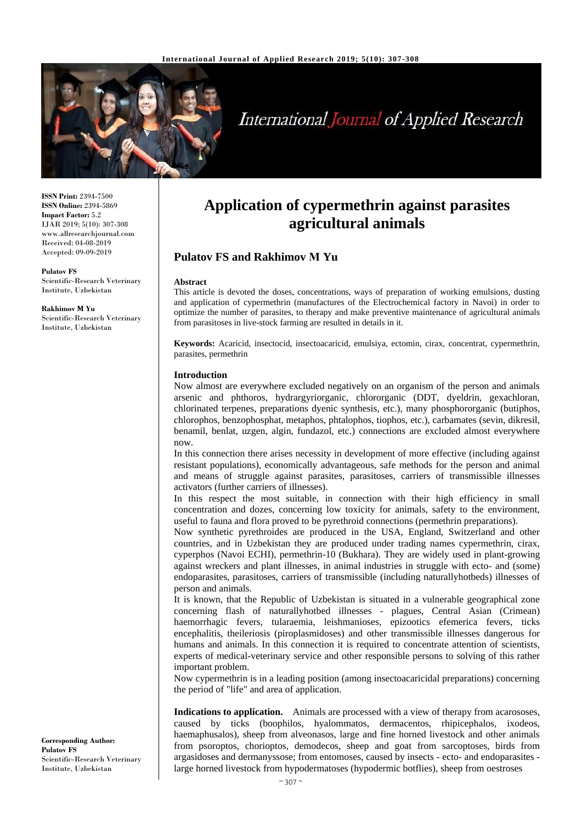

# **International Journal of Applied Research**

**ISSN Print:** 2394-7500 **ISSN Online:** 2394-5869 **Impact Factor:** 5.2 IJAR 2019; 5(10): 307-308 www.allresearchjournal.com Received: 04-08-2019 Accepted: 09-09-2019

**Pulatov FS** Scientific-Research Veterinary Institute, Uzbekistan

**Rakhimov М Yu** Scientific-Research Veterinary Institute, Uzbekistan

## **Application of cypermethrin against parasites agricultural animals**

### **Pulatov FS and Rakhimov М Yu**

#### **Abstract**

This article is devoted the doses, concentrations, ways of preparation of working emulsions, dusting and application of cypermethrin (manufactures of the Electrochemical factory in Navoi) in order to optimize the number of parasites, to therapy and make preventive maintenance of agricultural animals from parasitoses in live-stock farming are resulted in details in it.

**Keywords:** Acaricid, insectocid, insectoacaricid, emulsiya, ectomin, cirax, concentrat, cypermethrin, parasites, permethrin

#### **Introduction**

Now almost are everywhere excluded negatively on an organism of the person and animals arsenic and phthoros, hydrargyriorganic, chlororganic (DDT, dyeldrin, gexachloran, chlorinated terpenes, preparations dyenic synthesis, etc.), many phosphororganic (butiphos, chlorophos, benzophosphat, metaphos, phtalophos, tiophos, etc.), carbamates (sevin, dikresil, benamil, benlat, uzgen, algin, fundazol, etc.) connections are excluded almost everywhere now.

In this connection there arises necessity in development of more effective (including against resistant populations), economically advantageous, safe methods for the person and animal and means of struggle against parasites, parasitoses, carriers of transmissible illnesses activators (further carriers of illnesses).

In this respect the most suitable, in connection with their high efficiency in small concentration and dozes, concerning low toxicity for animals, safety to the environment, useful to fauna and flora proved to be pyrethroid connections (permethrin preparations).

Now synthetic pyrethroides are produced in the USA, England, Switzerland and other countries, and in Uzbekistan they are produced under trading names cypermethrin, cirax, cyperphos (Navoi ECHI), permethrin-10 (Bukhara). They are widely used in plant-growing against wreckers and plant illnesses, in animal industries in struggle with ecto- and (some) endoparasites, parasitoses, carriers of transmissible (including naturallyhotbeds) illnesses of person and animals.

It is known, that the Republic of Uzbekistan is situated in a vulnerable geographical zone concerning flash of naturallyhotbed illnesses - plagues, Central Asian (Crimean) haemorrhagic fevers, tularaemia, leishmanioses, epizootics efemerica fevers, ticks encephalitis, theileriosis (piroplasmidoses) and other transmissible illnesses dangerous for humans and animals. In this connection it is required to concentrate attention of scientists, experts of medical-veterinary service and other responsible persons to solving of this rather important problem.

Now cypermethrin is in a leading position (among insectoacaricidal preparations) concerning the period of "life" and area of application.

**Indications to application.** Animals are processed with a view of therapy from acarososes, caused by ticks (boophilos, hyalommatos, dermacentos, rhipicephalos, ixodeos, haemaphusalos), sheep from alveonasos, large and fine horned livestock and other animals from psoroptos, chorioptos, demodecos, sheep and goat from sarcoptoses, birds from argasidoses and dermanyssose; from entomoses, caused by insects - ecto- and endoparasites large horned livestock from hypodermatoses (hypodermic botflies), sheep from oestroses

**Corresponding Author: Pulatov FS** Scientific-Research Veterinary Institute, Uzbekistan